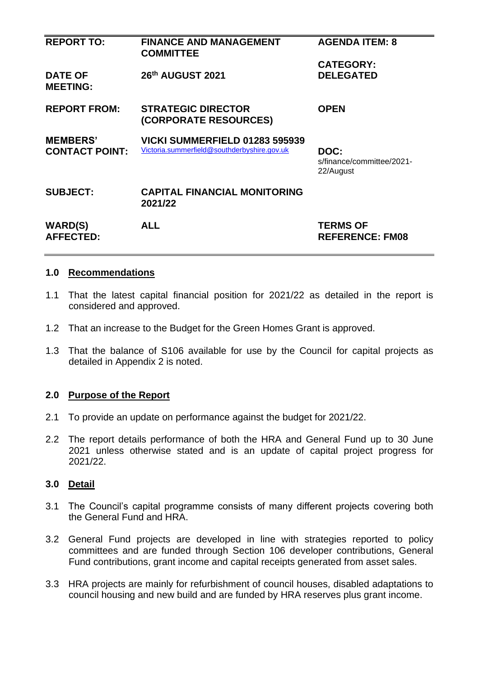| <b>REPORT TO:</b>                        | <b>FINANCE AND MANAGEMENT</b><br><b>COMMITTEE</b>                             | <b>AGENDA ITEM: 8</b>                          |
|------------------------------------------|-------------------------------------------------------------------------------|------------------------------------------------|
|                                          |                                                                               | <b>CATEGORY:</b>                               |
| <b>DATE OF</b><br><b>MEETING:</b>        | 26th AUGUST 2021                                                              | <b>DELEGATED</b>                               |
| <b>REPORT FROM:</b>                      | <b>STRATEGIC DIRECTOR</b><br>(CORPORATE RESOURCES)                            | <b>OPEN</b>                                    |
| <b>MEMBERS'</b><br><b>CONTACT POINT:</b> | VICKI SUMMERFIELD 01283 595939<br>Victoria.summerfield@southderbyshire.gov.uk | DOC:<br>s/finance/committee/2021-<br>22/August |
| <b>SUBJECT:</b>                          | <b>CAPITAL FINANCIAL MONITORING</b><br>2021/22                                |                                                |
| <b>WARD(S)</b><br><b>AFFECTED:</b>       | <b>ALL</b>                                                                    | <b>TERMS OF</b><br><b>REFERENCE: FM08</b>      |

## **1.0 Recommendations**

- 1.1 That the latest capital financial position for 2021/22 as detailed in the report is considered and approved.
- 1.2 That an increase to the Budget for the Green Homes Grant is approved.
- 1.3 That the balance of S106 available for use by the Council for capital projects as detailed in Appendix 2 is noted.

## **2.0 Purpose of the Report**

- 2.1 To provide an update on performance against the budget for 2021/22.
- 2.2 The report details performance of both the HRA and General Fund up to 30 June 2021 unless otherwise stated and is an update of capital project progress for 2021/22.

## **3.0 Detail**

- 3.1 The Council's capital programme consists of many different projects covering both the General Fund and HRA.
- 3.2 General Fund projects are developed in line with strategies reported to policy committees and are funded through Section 106 developer contributions, General Fund contributions, grant income and capital receipts generated from asset sales.
- 3.3 HRA projects are mainly for refurbishment of council houses, disabled adaptations to council housing and new build and are funded by HRA reserves plus grant income.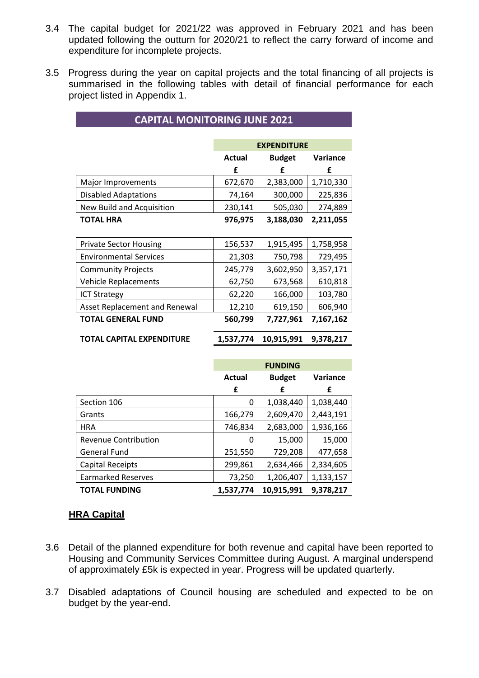- 3.4 The capital budget for 2021/22 was approved in February 2021 and has been updated following the outturn for 2020/21 to reflect the carry forward of income and expenditure for incomplete projects.
- 3.5 Progress during the year on capital projects and the total financing of all projects is summarised in the following tables with detail of financial performance for each project listed in Appendix 1.

|                               |           | <b>EXPENDITURE</b> |           |
|-------------------------------|-----------|--------------------|-----------|
|                               | Actual    | <b>Budget</b>      | Variance  |
|                               | £         | £                  | £         |
| Major Improvements            | 672,670   | 2,383,000          | 1,710,330 |
| <b>Disabled Adaptations</b>   | 74,164    | 300,000            | 225,836   |
| New Build and Acquisition     | 230,141   | 505,030            | 274,889   |
| <b>TOTAL HRA</b>              | 976,975   | 3,188,030          | 2,211,055 |
|                               |           |                    |           |
| <b>Private Sector Housing</b> | 156,537   | 1,915,495          | 1,758,958 |
| <b>Environmental Services</b> | 21,303    | 750,798            | 729,495   |
| <b>Community Projects</b>     | 245,779   | 3,602,950          | 3,357,171 |
| <b>Vehicle Replacements</b>   | 62,750    | 673,568            | 610,818   |
| <b>ICT Strategy</b>           | 62,220    | 166,000            | 103,780   |
| Asset Replacement and Renewal | 12,210    | 619,150            | 606,940   |
| <b>TOTAL GENERAL FUND</b>     | 560,799   | 7,727,961          | 7,167,162 |
|                               |           |                    |           |
| TOTAL CAPITAL EXPENDITURE     | 1,537,774 | 10,915,991         | 9,378,217 |

**CAPITAL MONITORING JUNE 2021**

|                           | <b>FUNDING</b>                      |            |           |  |  |
|---------------------------|-------------------------------------|------------|-----------|--|--|
|                           | <b>Budget</b><br>Variance<br>Actual |            |           |  |  |
|                           | £                                   | £          | £         |  |  |
| Section 106               | 0                                   | 1,038,440  | 1,038,440 |  |  |
| Grants                    | 166,279                             | 2,609,470  | 2,443,191 |  |  |
| <b>HRA</b>                | 746,834                             | 2,683,000  | 1,936,166 |  |  |
| Revenue Contribution      | 0                                   | 15,000     | 15,000    |  |  |
| <b>General Fund</b>       | 251,550                             | 729,208    | 477,658   |  |  |
| Capital Receipts          | 299,861                             | 2,634,466  | 2,334,605 |  |  |
| <b>Earmarked Reserves</b> | 73,250                              | 1,206,407  | 1,133,157 |  |  |
| <b>TOTAL FUNDING</b>      | 1,537,774                           | 10,915,991 | 9,378,217 |  |  |

# **HRA Capital**

- 3.6 Detail of the planned expenditure for both revenue and capital have been reported to Housing and Community Services Committee during August. A marginal underspend of approximately £5k is expected in year. Progress will be updated quarterly.
- 3.7 Disabled adaptations of Council housing are scheduled and expected to be on budget by the year-end.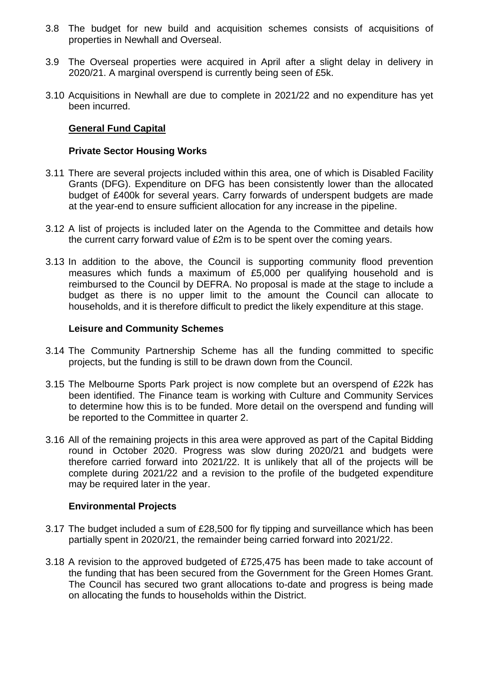- 3.8 The budget for new build and acquisition schemes consists of acquisitions of properties in Newhall and Overseal.
- 3.9 The Overseal properties were acquired in April after a slight delay in delivery in 2020/21. A marginal overspend is currently being seen of £5k.
- 3.10 Acquisitions in Newhall are due to complete in 2021/22 and no expenditure has yet been incurred.

## **General Fund Capital**

## **Private Sector Housing Works**

- 3.11 There are several projects included within this area, one of which is Disabled Facility Grants (DFG). Expenditure on DFG has been consistently lower than the allocated budget of £400k for several years. Carry forwards of underspent budgets are made at the year-end to ensure sufficient allocation for any increase in the pipeline.
- 3.12 A list of projects is included later on the Agenda to the Committee and details how the current carry forward value of £2m is to be spent over the coming years.
- 3.13 In addition to the above, the Council is supporting community flood prevention measures which funds a maximum of £5,000 per qualifying household and is reimbursed to the Council by DEFRA. No proposal is made at the stage to include a budget as there is no upper limit to the amount the Council can allocate to households, and it is therefore difficult to predict the likely expenditure at this stage.

#### **Leisure and Community Schemes**

- 3.14 The Community Partnership Scheme has all the funding committed to specific projects, but the funding is still to be drawn down from the Council.
- 3.15 The Melbourne Sports Park project is now complete but an overspend of £22k has been identified. The Finance team is working with Culture and Community Services to determine how this is to be funded. More detail on the overspend and funding will be reported to the Committee in quarter 2.
- 3.16 All of the remaining projects in this area were approved as part of the Capital Bidding round in October 2020. Progress was slow during 2020/21 and budgets were therefore carried forward into 2021/22. It is unlikely that all of the projects will be complete during 2021/22 and a revision to the profile of the budgeted expenditure may be required later in the year.

## **Environmental Projects**

- 3.17 The budget included a sum of £28,500 for fly tipping and surveillance which has been partially spent in 2020/21, the remainder being carried forward into 2021/22.
- 3.18 A revision to the approved budgeted of £725,475 has been made to take account of the funding that has been secured from the Government for the Green Homes Grant. The Council has secured two grant allocations to-date and progress is being made on allocating the funds to households within the District.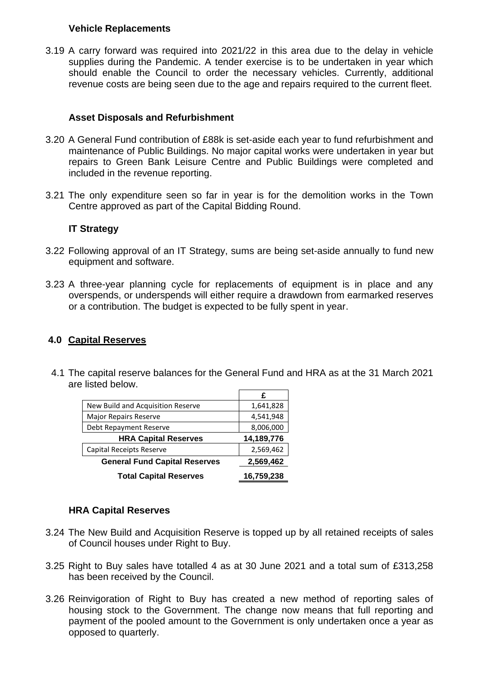#### **Vehicle Replacements**

3.19 A carry forward was required into 2021/22 in this area due to the delay in vehicle supplies during the Pandemic. A tender exercise is to be undertaken in year which should enable the Council to order the necessary vehicles. Currently, additional revenue costs are being seen due to the age and repairs required to the current fleet.

# **Asset Disposals and Refurbishment**

- 3.20 A General Fund contribution of £88k is set-aside each year to fund refurbishment and maintenance of Public Buildings. No major capital works were undertaken in year but repairs to Green Bank Leisure Centre and Public Buildings were completed and included in the revenue reporting.
- 3.21 The only expenditure seen so far in year is for the demolition works in the Town Centre approved as part of the Capital Bidding Round.

## **IT Strategy**

- 3.22 Following approval of an IT Strategy, sums are being set-aside annually to fund new equipment and software.
- 3.23 A three-year planning cycle for replacements of equipment is in place and any overspends, or underspends will either require a drawdown from earmarked reserves or a contribution. The budget is expected to be fully spent in year.

## **4.0 Capital Reserves**

4.1 The capital reserve balances for the General Fund and HRA as at the 31 March 2021 are listed below.

|                                      | £          |
|--------------------------------------|------------|
| New Build and Acquisition Reserve    | 1,641,828  |
| <b>Major Repairs Reserve</b>         | 4,541,948  |
| Debt Repayment Reserve               | 8,006,000  |
| <b>HRA Capital Reserves</b>          | 14,189,776 |
| Capital Receipts Reserve             | 2,569,462  |
| <b>General Fund Capital Reserves</b> | 2,569,462  |
| <b>Total Capital Reserves</b>        | 16,759,238 |

## **HRA Capital Reserves**

- 3.24 The New Build and Acquisition Reserve is topped up by all retained receipts of sales of Council houses under Right to Buy.
- 3.25 Right to Buy sales have totalled 4 as at 30 June 2021 and a total sum of £313,258 has been received by the Council.
- 3.26 Reinvigoration of Right to Buy has created a new method of reporting sales of housing stock to the Government. The change now means that full reporting and payment of the pooled amount to the Government is only undertaken once a year as opposed to quarterly.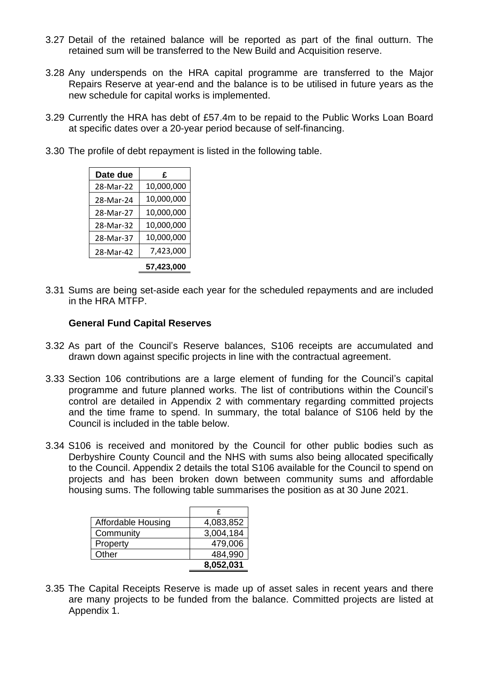- 3.27 Detail of the retained balance will be reported as part of the final outturn. The retained sum will be transferred to the New Build and Acquisition reserve.
- 3.28 Any underspends on the HRA capital programme are transferred to the Major Repairs Reserve at year-end and the balance is to be utilised in future years as the new schedule for capital works is implemented.
- 3.29 Currently the HRA has debt of £57.4m to be repaid to the Public Works Loan Board at specific dates over a 20-year period because of self-financing.
- 3.30 The profile of debt repayment is listed in the following table.

| Date due  | £          |
|-----------|------------|
| 28-Mar-22 | 10,000,000 |
| 28-Mar-24 | 10,000,000 |
| 28-Mar-27 | 10,000,000 |
| 28-Mar-32 | 10,000,000 |
| 28-Mar-37 | 10,000,000 |
| 28-Mar-42 | 7,423,000  |
|           | 57,423,000 |

3.31 Sums are being set-aside each year for the scheduled repayments and are included in the HRA MTFP.

#### **General Fund Capital Reserves**

- 3.32 As part of the Council's Reserve balances, S106 receipts are accumulated and drawn down against specific projects in line with the contractual agreement.
- 3.33 Section 106 contributions are a large element of funding for the Council's capital programme and future planned works. The list of contributions within the Council's control are detailed in Appendix 2 with commentary regarding committed projects and the time frame to spend. In summary, the total balance of S106 held by the Council is included in the table below.
- 3.34 S106 is received and monitored by the Council for other public bodies such as Derbyshire County Council and the NHS with sums also being allocated specifically to the Council. Appendix 2 details the total S106 available for the Council to spend on projects and has been broken down between community sums and affordable housing sums. The following table summarises the position as at 30 June 2021.

| <b>Affordable Housing</b> | 4,083,852 |
|---------------------------|-----------|
| Community                 | 3,004,184 |
| Property                  | 479,006   |
| Other                     | 484,990   |
|                           | 8,052,031 |

3.35 The Capital Receipts Reserve is made up of asset sales in recent years and there are many projects to be funded from the balance. Committed projects are listed at Appendix 1.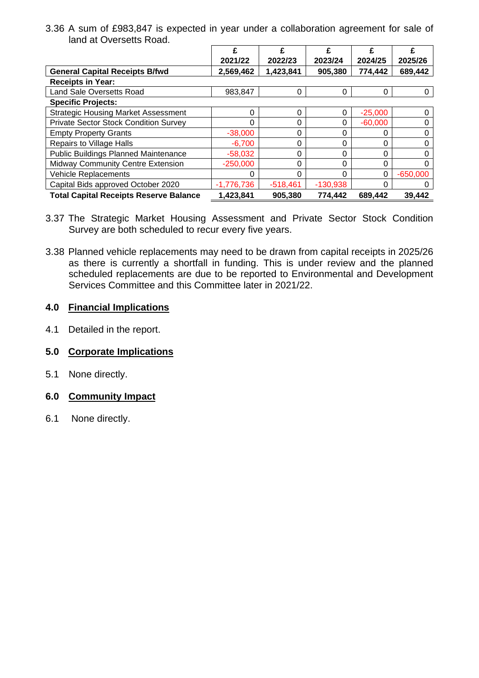3.36 A sum of £983,847 is expected in year under a collaboration agreement for sale of land at Oversetts Road.

|                                               | £          | £          |            |           | £          |
|-----------------------------------------------|------------|------------|------------|-----------|------------|
|                                               | 2021/22    | 2022/23    | 2023/24    | 2024/25   | 2025/26    |
| <b>General Capital Receipts B/fwd</b>         | 2,569,462  | 1,423,841  | 905,380    | 774,442   | 689,442    |
| <b>Receipts in Year:</b>                      |            |            |            |           |            |
| Land Sale Oversetts Road                      | 983,847    | 0          | 0          | $\Omega$  | O          |
| <b>Specific Projects:</b>                     |            |            |            |           |            |
| <b>Strategic Housing Market Assessment</b>    | 0          | $\Omega$   | 0          | $-25,000$ | O          |
| <b>Private Sector Stock Condition Survey</b>  | 0          | $\Omega$   | 0          | $-60,000$ |            |
| <b>Empty Property Grants</b>                  | $-38,000$  | 0          | 0          | 0         |            |
| <b>Repairs to Village Halls</b>               | $-6,700$   | 0          | 0          | ∩         |            |
| <b>Public Buildings Planned Maintenance</b>   | $-58,032$  | $\Omega$   | 0          | 0         |            |
| <b>Midway Community Centre Extension</b>      | $-250,000$ | 0          | 0          | ∩         |            |
| Vehicle Replacements                          | O          | $\Omega$   | 0          | $\Omega$  | $-650,000$ |
| Capital Bids approved October 2020            | -1,776,736 | $-518,461$ | $-130,938$ |           |            |
| <b>Total Capital Receipts Reserve Balance</b> | 1,423,841  | 905,380    | 774,442    | 689,442   | 39,442     |

- 3.37 The Strategic Market Housing Assessment and Private Sector Stock Condition Survey are both scheduled to recur every five years.
- 3.38 Planned vehicle replacements may need to be drawn from capital receipts in 2025/26 as there is currently a shortfall in funding. This is under review and the planned scheduled replacements are due to be reported to Environmental and Development Services Committee and this Committee later in 2021/22.

# **4.0 Financial Implications**

4.1 Detailed in the report.

# **5.0 Corporate Implications**

5.1 None directly.

## **6.0 Community Impact**

6.1 None directly.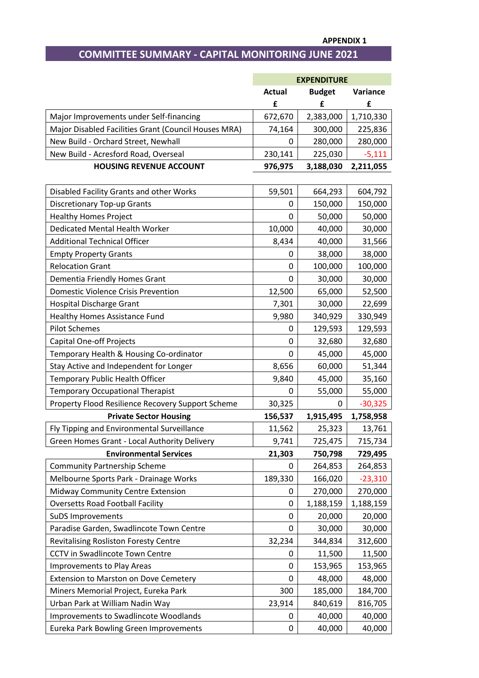#### **APPENDIX 1**

# **COMMITTEE SUMMARY - CAPITAL MONITORING JUNE 2021**

|                                                      |               | <b>EXPENDITURE</b> |           |
|------------------------------------------------------|---------------|--------------------|-----------|
|                                                      | <b>Actual</b> | <b>Budget</b>      | Variance  |
|                                                      | £             | £                  | £         |
| Major Improvements under Self-financing              | 672,670       | 2,383,000          | 1,710,330 |
| Major Disabled Facilities Grant (Council Houses MRA) | 74,164        | 300,000            | 225,836   |
| New Build - Orchard Street, Newhall                  | 0             | 280,000            | 280,000   |
| New Build - Acresford Road, Overseal                 | 230,141       | 225,030            | $-5,111$  |
| <b>HOUSING REVENUE ACCOUNT</b>                       | 976,975       | 3,188,030          | 2,211,055 |
|                                                      |               |                    |           |
| Disabled Facility Grants and other Works             | 59,501        | 664,293            | 604,792   |
| <b>Discretionary Top-up Grants</b>                   | 0             | 150,000            | 150,000   |
| <b>Healthy Homes Project</b>                         | 0             | 50,000             | 50,000    |
| Dedicated Mental Health Worker                       | 10,000        | 40,000             | 30,000    |
| <b>Additional Technical Officer</b>                  | 8,434         | 40,000             | 31,566    |
| <b>Empty Property Grants</b>                         | 0             | 38,000             | 38,000    |
| <b>Relocation Grant</b>                              | 0             | 100,000            | 100,000   |
| Dementia Friendly Homes Grant                        | 0             | 30,000             | 30,000    |
| <b>Domestic Violence Crisis Prevention</b>           | 12,500        | 65,000             | 52,500    |
| <b>Hospital Discharge Grant</b>                      | 7,301         | 30,000             | 22,699    |
| <b>Healthy Homes Assistance Fund</b>                 | 9,980         | 340,929            | 330,949   |
| <b>Pilot Schemes</b>                                 | 0             | 129,593            | 129,593   |
| <b>Capital One-off Projects</b>                      | 0             | 32,680             | 32,680    |
| Temporary Health & Housing Co-ordinator              | 0             | 45,000             | 45,000    |
| Stay Active and Independent for Longer               | 8,656         | 60,000             | 51,344    |
| Temporary Public Health Officer                      | 9,840         | 45,000             | 35,160    |
| <b>Temporary Occupational Therapist</b>              | 0             | 55,000             | 55,000    |
| Property Flood Resilience Recovery Support Scheme    | 30,325        | 0                  | $-30,325$ |
| <b>Private Sector Housing</b>                        | 156,537       | 1,915,495          | 1,758,958 |
| Fly Tipping and Environmental Surveillance           | 11,562        | 25,323             | 13,761    |
| Green Homes Grant - Local Authority Delivery         | 9,741         | 725,475            | 715,734   |
| <b>Environmental Services</b>                        | 21,303        | 750,798            | 729,495   |
| <b>Community Partnership Scheme</b>                  | 0             | 264,853            | 264,853   |
| Melbourne Sports Park - Drainage Works               | 189,330       | 166,020            | $-23,310$ |
| Midway Community Centre Extension                    | 0             | 270,000            | 270,000   |
| <b>Oversetts Road Football Facility</b>              | 0             | 1,188,159          | 1,188,159 |
| <b>SuDS Improvements</b>                             | 0             | 20,000             | 20,000    |
| Paradise Garden, Swadlincote Town Centre             | 0             | 30,000             | 30,000    |
| <b>Revitalising Rosliston Foresty Centre</b>         | 32,234        | 344,834            | 312,600   |
| CCTV in Swadlincote Town Centre                      | 0             | 11,500             | 11,500    |
| <b>Improvements to Play Areas</b>                    | 0             | 153,965            | 153,965   |
| <b>Extension to Marston on Dove Cemetery</b>         | 0             | 48,000             | 48,000    |
| Miners Memorial Project, Eureka Park                 | 300           | 185,000            | 184,700   |
| Urban Park at William Nadin Way                      | 23,914        | 840,619            | 816,705   |
| Improvements to Swadlincote Woodlands                | 0             | 40,000             | 40,000    |
| Eureka Park Bowling Green Improvements               | 0             | 40,000             | 40,000    |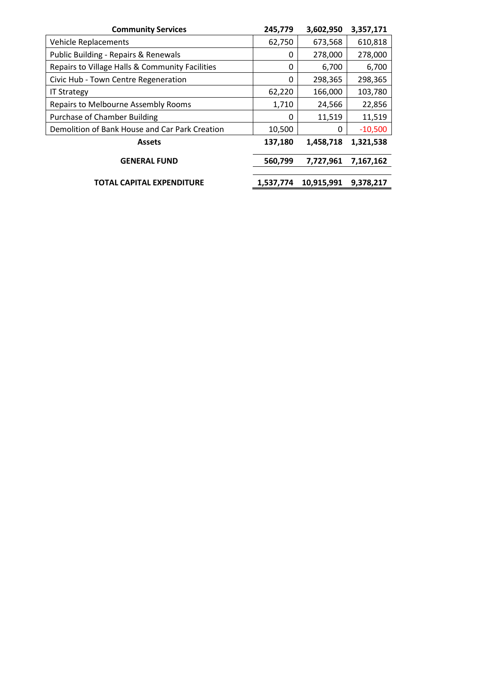| <b>Community Services</b>                       | 245,779   | 3,602,950  | 3,357,171 |
|-------------------------------------------------|-----------|------------|-----------|
| <b>Vehicle Replacements</b>                     | 62,750    | 673,568    | 610,818   |
| Public Building - Repairs & Renewals            | 0         | 278,000    | 278,000   |
| Repairs to Village Halls & Community Facilities | 0         | 6,700      | 6,700     |
| Civic Hub - Town Centre Regeneration            | 0         | 298,365    | 298,365   |
| <b>IT Strategy</b>                              | 62,220    | 166,000    | 103,780   |
| Repairs to Melbourne Assembly Rooms             | 1,710     | 24,566     | 22,856    |
| <b>Purchase of Chamber Building</b>             | 0         | 11,519     | 11,519    |
| Demolition of Bank House and Car Park Creation  | 10,500    | 0          | $-10,500$ |
| <b>Assets</b>                                   | 137,180   | 1,458,718  | 1,321,538 |
| <b>GENERAL FUND</b>                             | 560,799   | 7,727,961  | 7,167,162 |
| TOTAL CAPITAL EXPENDITURE                       | 1,537,774 | 10,915,991 | 9,378,217 |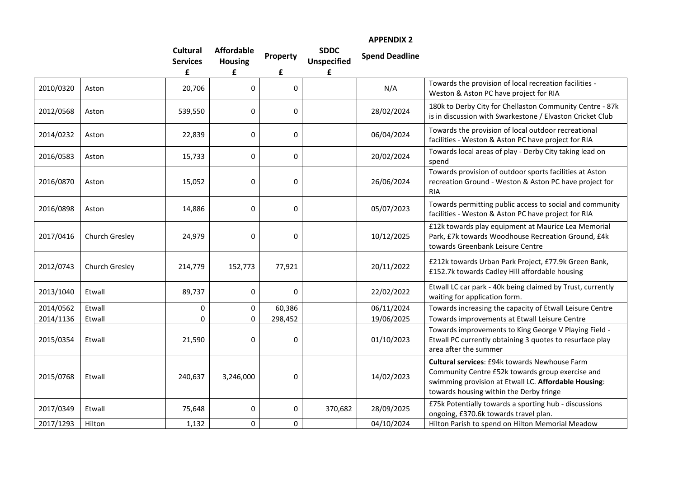|           |                |                                    |                                     |              |                                   | <b>APPENDIX 2</b>     |                                                                                                                                                                                                      |
|-----------|----------------|------------------------------------|-------------------------------------|--------------|-----------------------------------|-----------------------|------------------------------------------------------------------------------------------------------------------------------------------------------------------------------------------------------|
|           |                | <b>Cultural</b><br><b>Services</b> | <b>Affordable</b><br><b>Housing</b> | Property     | <b>SDDC</b><br><b>Unspecified</b> | <b>Spend Deadline</b> |                                                                                                                                                                                                      |
|           |                | £                                  | £                                   | £            | £                                 |                       |                                                                                                                                                                                                      |
| 2010/0320 | Aston          | 20,706                             | 0                                   | 0            |                                   | N/A                   | Towards the provision of local recreation facilities -<br>Weston & Aston PC have project for RIA                                                                                                     |
| 2012/0568 | Aston          | 539,550                            | 0                                   | 0            |                                   | 28/02/2024            | 180k to Derby City for Chellaston Community Centre - 87k<br>is in discussion with Swarkestone / Elvaston Cricket Club                                                                                |
| 2014/0232 | Aston          | 22,839                             | 0                                   | 0            |                                   | 06/04/2024            | Towards the provision of local outdoor recreational<br>facilities - Weston & Aston PC have project for RIA                                                                                           |
| 2016/0583 | Aston          | 15,733                             | 0                                   | 0            |                                   | 20/02/2024            | Towards local areas of play - Derby City taking lead on<br>spend                                                                                                                                     |
| 2016/0870 | Aston          | 15,052                             | 0                                   | 0            |                                   | 26/06/2024            | Towards provision of outdoor sports facilities at Aston<br>recreation Ground - Weston & Aston PC have project for<br><b>RIA</b>                                                                      |
| 2016/0898 | Aston          | 14,886                             | 0                                   | 0            |                                   | 05/07/2023            | Towards permitting public access to social and community<br>facilities - Weston & Aston PC have project for RIA                                                                                      |
| 2017/0416 | Church Gresley | 24,979                             | 0                                   | 0            |                                   | 10/12/2025            | £12k towards play equipment at Maurice Lea Memorial<br>Park, £7k towards Woodhouse Recreation Ground, £4k<br>towards Greenbank Leisure Centre                                                        |
| 2012/0743 | Church Gresley | 214,779                            | 152,773                             | 77,921       |                                   | 20/11/2022            | £212k towards Urban Park Project, £77.9k Green Bank,<br>£152.7k towards Cadley Hill affordable housing                                                                                               |
| 2013/1040 | Etwall         | 89,737                             | 0                                   | 0            |                                   | 22/02/2022            | Etwall LC car park - 40k being claimed by Trust, currently<br>waiting for application form.                                                                                                          |
| 2014/0562 | Etwall         | 0                                  | 0                                   | 60,386       |                                   | 06/11/2024            | Towards increasing the capacity of Etwall Leisure Centre                                                                                                                                             |
| 2014/1136 | Etwall         | 0                                  | $\mathbf 0$                         | 298,452      |                                   | 19/06/2025            | Towards improvements at Etwall Leisure Centre                                                                                                                                                        |
| 2015/0354 | Etwall         | 21,590                             | 0                                   | 0            |                                   | 01/10/2023            | Towards improvements to King George V Playing Field -<br>Etwall PC currently obtaining 3 quotes to resurface play<br>area after the summer                                                           |
| 2015/0768 | Etwall         | 240,637                            | 3,246,000                           | 0            |                                   | 14/02/2023            | Cultural services: £94k towards Newhouse Farm<br>Community Centre £52k towards group exercise and<br>swimming provision at Etwall LC. Affordable Housing:<br>towards housing within the Derby fringe |
| 2017/0349 | Etwall         | 75,648                             | 0                                   | $\mathbf{0}$ | 370,682                           | 28/09/2025            | £75k Potentially towards a sporting hub - discussions<br>ongoing, £370.6k towards travel plan.                                                                                                       |

2017/1293 Hilton 1,132 0 0 0 0 04/10/2024 Hilton Parish to spend on Hilton Memorial Meadow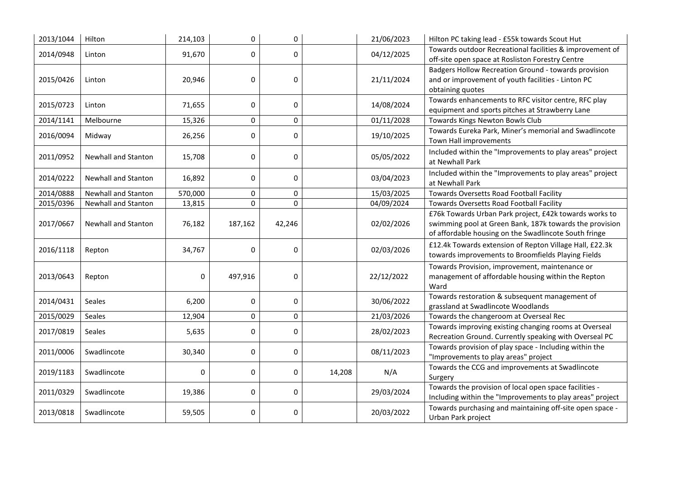| 2013/1044 | Hilton                     | 214,103 | $\pmb{0}$ | 0         |        | 21/06/2023 | Hilton PC taking lead - £55k towards Scout Hut                                                                                                                             |
|-----------|----------------------------|---------|-----------|-----------|--------|------------|----------------------------------------------------------------------------------------------------------------------------------------------------------------------------|
| 2014/0948 | Linton                     | 91,670  | 0         | 0         |        | 04/12/2025 | Towards outdoor Recreational facilities & improvement of<br>off-site open space at Rosliston Forestry Centre                                                               |
| 2015/0426 | Linton                     | 20,946  | 0         | $\pmb{0}$ |        | 21/11/2024 | Badgers Hollow Recreation Ground - towards provision<br>and or improvement of youth facilities - Linton PC<br>obtaining quotes                                             |
| 2015/0723 | Linton                     | 71,655  | 0         | 0         |        | 14/08/2024 | Towards enhancements to RFC visitor centre, RFC play<br>equipment and sports pitches at Strawberry Lane                                                                    |
| 2014/1141 | Melbourne                  | 15,326  | $\pmb{0}$ | 0         |        | 01/11/2028 | Towards Kings Newton Bowls Club                                                                                                                                            |
| 2016/0094 | Midway                     | 26,256  | 0         | 0         |        | 19/10/2025 | Towards Eureka Park, Miner's memorial and Swadlincote<br>Town Hall improvements                                                                                            |
| 2011/0952 | <b>Newhall and Stanton</b> | 15,708  | 0         | $\pmb{0}$ |        | 05/05/2022 | Included within the "Improvements to play areas" project<br>at Newhall Park                                                                                                |
| 2014/0222 | <b>Newhall and Stanton</b> | 16,892  | 0         | 0         |        | 03/04/2023 | Included within the "Improvements to play areas" project<br>at Newhall Park                                                                                                |
| 2014/0888 | <b>Newhall and Stanton</b> | 570,000 | $\pmb{0}$ | 0         |        | 15/03/2025 | Towards Oversetts Road Football Facility                                                                                                                                   |
| 2015/0396 | Newhall and Stanton        | 13,815  | $\Omega$  | $\Omega$  |        | 04/09/2024 | Towards Oversetts Road Football Facility                                                                                                                                   |
| 2017/0667 | <b>Newhall and Stanton</b> | 76,182  | 187,162   | 42,246    |        | 02/02/2026 | £76k Towards Urban Park project, £42k towards works to<br>swimming pool at Green Bank, 187k towards the provision<br>of affordable housing on the Swadlincote South fringe |
| 2016/1118 | Repton                     | 34,767  | 0         | $\pmb{0}$ |        | 02/03/2026 | £12.4k Towards extension of Repton Village Hall, £22.3k<br>towards improvements to Broomfields Playing Fields                                                              |
| 2013/0643 | Repton                     | 0       | 497,916   | 0         |        | 22/12/2022 | Towards Provision, improvement, maintenance or<br>management of affordable housing within the Repton<br>Ward                                                               |
| 2014/0431 | Seales                     | 6,200   | 0         | $\pmb{0}$ |        | 30/06/2022 | Towards restoration & subsequent management of<br>grassland at Swadlincote Woodlands                                                                                       |
| 2015/0029 | Seales                     | 12,904  | 0         | 0         |        | 21/03/2026 | Towards the changeroom at Overseal Rec                                                                                                                                     |
| 2017/0819 | <b>Seales</b>              | 5,635   | 0         | $\pmb{0}$ |        | 28/02/2023 | Towards improving existing changing rooms at Overseal<br>Recreation Ground. Currently speaking with Overseal PC                                                            |
| 2011/0006 | Swadlincote                | 30,340  | 0         | 0         |        | 08/11/2023 | Towards provision of play space - Including within the<br>"Improvements to play areas" project                                                                             |
| 2019/1183 | Swadlincote                | 0       | $\pmb{0}$ | 0         | 14,208 | N/A        | Towards the CCG and improvements at Swadlincote<br>Surgery                                                                                                                 |
| 2011/0329 | Swadlincote                | 19,386  | 0         | 0         |        | 29/03/2024 | Towards the provision of local open space facilities -<br>Including within the "Improvements to play areas" project                                                        |
| 2013/0818 | Swadlincote                | 59,505  | 0         | 0         |        | 20/03/2022 | Towards purchasing and maintaining off-site open space -<br>Urban Park project                                                                                             |